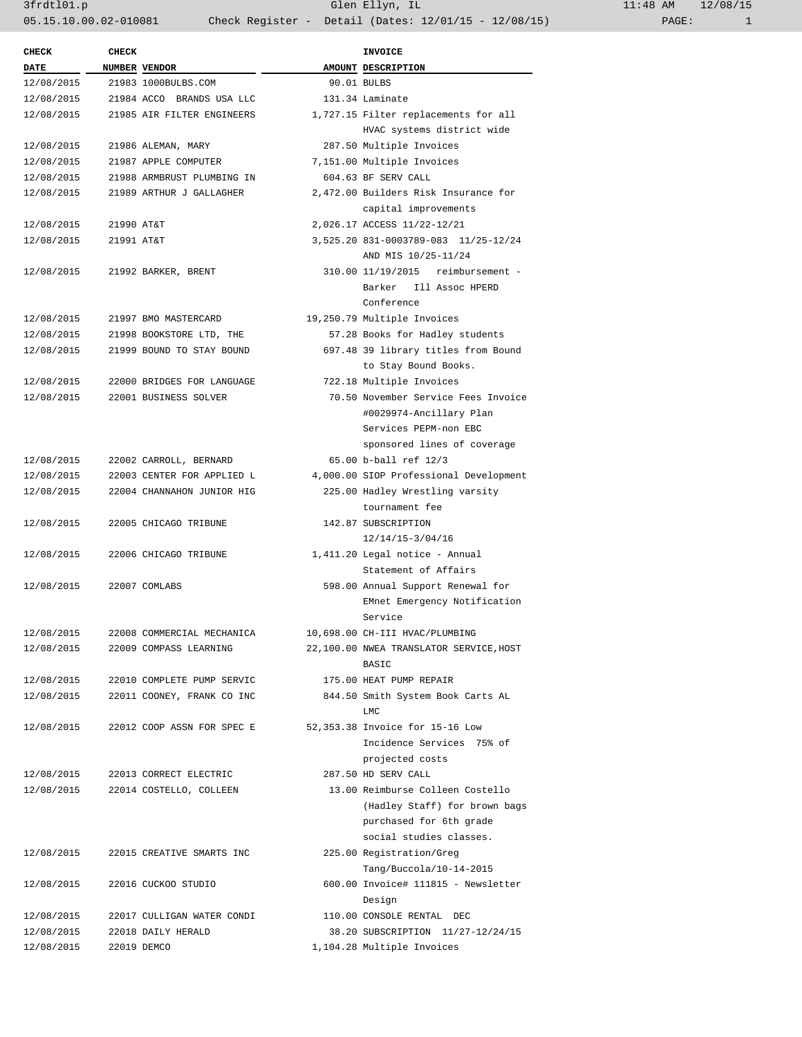| <b>CHECK</b> | <b>CHECK</b> |                            | <b>INVOICE</b>                                     |
|--------------|--------------|----------------------------|----------------------------------------------------|
| DATE         |              | NUMBER VENDOR              | AMOUNT DESCRIPTION                                 |
| 12/08/2015   |              | 21983 1000BULBS.COM        | 90.01 BULBS                                        |
| 12/08/2015   |              | 21984 ACCO BRANDS USA LLC  | 131.34 Laminate                                    |
| 12/08/2015   |              | 21985 AIR FILTER ENGINEERS | 1,727.15 Filter replacements for all               |
|              |              |                            | HVAC systems district wide                         |
| 12/08/2015   |              | 21986 ALEMAN, MARY         | 287.50 Multiple Invoices                           |
| 12/08/2015   |              | 21987 APPLE COMPUTER       | 7,151.00 Multiple Invoices                         |
| 12/08/2015   |              | 21988 ARMBRUST PLUMBING IN | 604.63 BF SERV CALL                                |
| 12/08/2015   |              | 21989 ARTHUR J GALLAGHER   | 2,472.00 Builders Risk Insurance for               |
|              |              |                            | capital improvements                               |
| 12/08/2015   | 21990 AT&T   |                            | 2,026.17 ACCESS 11/22-12/21                        |
| 12/08/2015   | 21991 AT&T   |                            | 3,525.20 831-0003789-083 11/25-12/24               |
|              |              |                            | AND MIS 10/25-11/24                                |
| 12/08/2015   |              | 21992 BARKER, BRENT        | 310.00 11/19/2015 reimbursement -                  |
|              |              |                            | Barker Ill Assoc HPERD                             |
|              |              |                            | Conference                                         |
| 12/08/2015   |              | 21997 BMO MASTERCARD       | 19,250.79 Multiple Invoices                        |
| 12/08/2015   |              | 21998 BOOKSTORE LTD, THE   | 57.28 Books for Hadley students                    |
| 12/08/2015   |              | 21999 BOUND TO STAY BOUND  | 697.48 39 library titles from Bound                |
|              |              |                            | to Stay Bound Books.                               |
| 12/08/2015   |              | 22000 BRIDGES FOR LANGUAGE | 722.18 Multiple Invoices                           |
| 12/08/2015   |              | 22001 BUSINESS SOLVER      | 70.50 November Service Fees Invoice                |
|              |              |                            | #0029974-Ancillary Plan                            |
|              |              |                            | Services PEPM-non EBC                              |
|              |              |                            | sponsored lines of coverage                        |
| 12/08/2015   |              | 22002 CARROLL, BERNARD     | 65.00 b-ball ref 12/3                              |
| 12/08/2015   |              | 22003 CENTER FOR APPLIED L | 4,000.00 SIOP Professional Development             |
| 12/08/2015   |              | 22004 CHANNAHON JUNIOR HIG | 225.00 Hadley Wrestling varsity                    |
|              |              |                            | tournament fee                                     |
| 12/08/2015   |              |                            | 142.87 SUBSCRIPTION                                |
|              |              | 22005 CHICAGO TRIBUNE      |                                                    |
|              |              |                            | 12/14/15-3/04/16<br>1,411.20 Legal notice - Annual |
| 12/08/2015   |              | 22006 CHICAGO TRIBUNE      |                                                    |
|              |              |                            | Statement of Affairs                               |
| 12/08/2015   |              | 22007 COMLABS              | 598.00 Annual Support Renewal for                  |
|              |              |                            | EMnet Emergency Notification                       |
|              |              |                            | Service                                            |
| 12/08/2015   |              | 22008 COMMERCIAL MECHANICA | 10,698.00 CH-III HVAC/PLUMBING                     |
| 12/08/2015   |              | 22009 COMPASS LEARNING     | 22,100.00 NWEA TRANSLATOR SERVICE, HOST            |
|              |              |                            | BASIC                                              |
| 12/08/2015   |              | 22010 COMPLETE PUMP SERVIC | 175.00 HEAT PUMP REPAIR                            |
| 12/08/2015   |              | 22011 COONEY, FRANK CO INC | 844.50 Smith System Book Carts AL                  |
|              |              |                            | LMC                                                |
| 12/08/2015   |              | 22012 COOP ASSN FOR SPEC E | 52,353.38 Invoice for 15-16 Low                    |
|              |              |                            | Incidence Services 75% of                          |
|              |              |                            | projected costs                                    |
| 12/08/2015   |              | 22013 CORRECT ELECTRIC     | 287.50 HD SERV CALL                                |
| 12/08/2015   |              | 22014 COSTELLO, COLLEEN    | 13.00 Reimburse Colleen Costello                   |
|              |              |                            | (Hadley Staff) for brown bags                      |
|              |              |                            | purchased for 6th grade                            |
|              |              |                            | social studies classes.                            |
| 12/08/2015   |              | 22015 CREATIVE SMARTS INC  | 225.00 Registration/Greg                           |
|              |              |                            | Tang/Buccola/10-14-2015                            |
| 12/08/2015   |              | 22016 CUCKOO STUDIO        | 600.00 Invoice# 111815 - Newsletter                |
|              |              |                            | Design                                             |
| 12/08/2015   |              | 22017 CULLIGAN WATER CONDI | 110.00 CONSOLE RENTAL DEC                          |
| 12/08/2015   |              | 22018 DAILY HERALD         | 38.20 SUBSCRIPTION 11/27-12/24/15                  |
| 12/08/2015   |              | 22019 DEMCO                | 1,104.28 Multiple Invoices                         |
|              |              |                            |                                                    |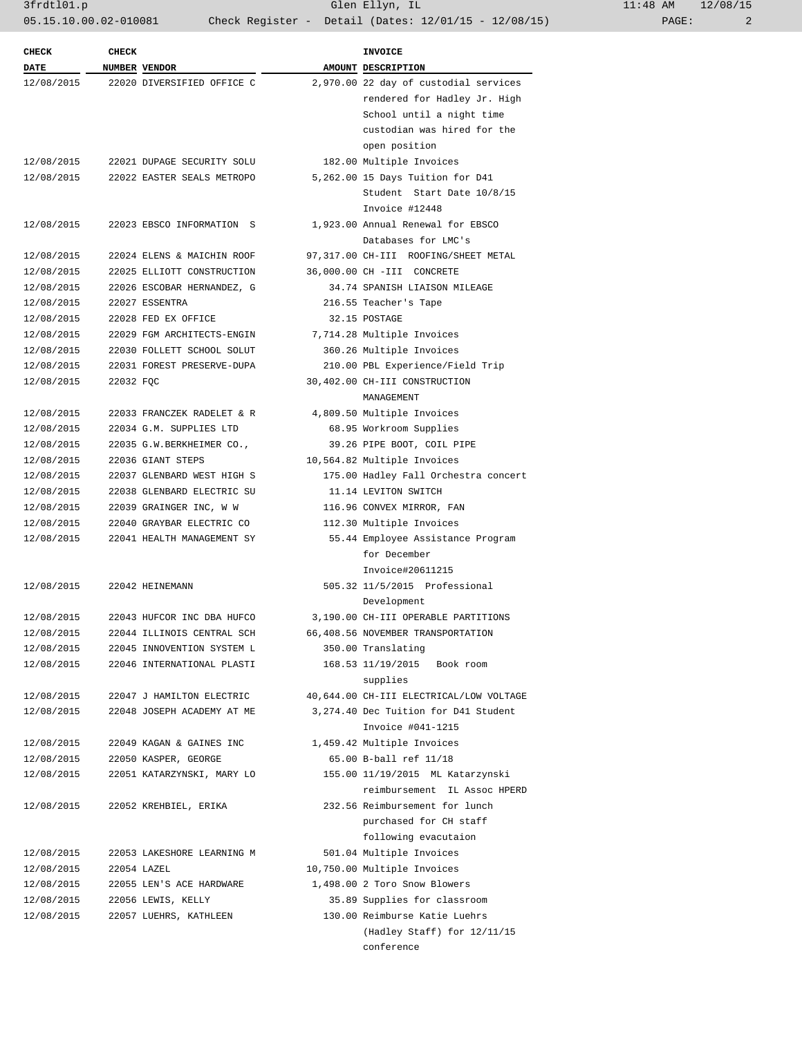| <b>CHECK</b> | <b>CHECK</b> |                            | <b>INVOICE</b>                          |
|--------------|--------------|----------------------------|-----------------------------------------|
| <b>DATE</b>  |              | <b>NUMBER VENDOR</b>       | AMOUNT DESCRIPTION                      |
| 12/08/2015   |              | 22020 DIVERSIFIED OFFICE C | 2,970.00 22 day of custodial services   |
|              |              |                            | rendered for Hadley Jr. High            |
|              |              |                            | School until a night time               |
|              |              |                            | custodian was hired for the             |
|              |              |                            | open position                           |
| 12/08/2015   |              | 22021 DUPAGE SECURITY SOLU | 182.00 Multiple Invoices                |
| 12/08/2015   |              | 22022 EASTER SEALS METROPO | 5,262.00 15 Days Tuition for D41        |
|              |              |                            | Student Start Date 10/8/15              |
|              |              |                            | Invoice #12448                          |
| 12/08/2015   |              | 22023 EBSCO INFORMATION S  | 1,923.00 Annual Renewal for EBSCO       |
|              |              |                            | Databases for LMC's                     |
| 12/08/2015   |              | 22024 ELENS & MAICHIN ROOF | 97,317.00 CH-III ROOFING/SHEET METAL    |
| 12/08/2015   |              | 22025 ELLIOTT CONSTRUCTION | 36,000.00 CH -III CONCRETE              |
| 12/08/2015   |              | 22026 ESCOBAR HERNANDEZ, G | 34.74 SPANISH LIAISON MILEAGE           |
| 12/08/2015   |              | 22027 ESSENTRA             | 216.55 Teacher's Tape                   |
| 12/08/2015   |              | 22028 FED EX OFFICE        | 32.15 POSTAGE                           |
| 12/08/2015   |              | 22029 FGM ARCHITECTS-ENGIN | 7,714.28 Multiple Invoices              |
| 12/08/2015   |              | 22030 FOLLETT SCHOOL SOLUT | 360.26 Multiple Invoices                |
| 12/08/2015   |              | 22031 FOREST PRESERVE-DUPA | 210.00 PBL Experience/Field Trip        |
| 12/08/2015   | 22032 FQC    |                            | 30,402.00 CH-III CONSTRUCTION           |
|              |              |                            | MANAGEMENT                              |
| 12/08/2015   |              | 22033 FRANCZEK RADELET & R | 4,809.50 Multiple Invoices              |
| 12/08/2015   |              | 22034 G.M. SUPPLIES LTD    | 68.95 Workroom Supplies                 |
| 12/08/2015   |              | 22035 G.W.BERKHEIMER CO.,  | 39.26 PIPE BOOT, COIL PIPE              |
| 12/08/2015   |              | 22036 GIANT STEPS          | 10,564.82 Multiple Invoices             |
| 12/08/2015   |              | 22037 GLENBARD WEST HIGH S | 175.00 Hadley Fall Orchestra concert    |
| 12/08/2015   |              | 22038 GLENBARD ELECTRIC SU | 11.14 LEVITON SWITCH                    |
| 12/08/2015   |              | 22039 GRAINGER INC, W W    | 116.96 CONVEX MIRROR, FAN               |
| 12/08/2015   |              | 22040 GRAYBAR ELECTRIC CO  | 112.30 Multiple Invoices                |
| 12/08/2015   |              | 22041 HEALTH MANAGEMENT SY | 55.44 Employee Assistance Program       |
|              |              |                            | for December                            |
|              |              |                            | Invoice#20611215                        |
| 12/08/2015   |              | 22042 HEINEMANN            | 505.32 11/5/2015 Professional           |
|              |              |                            | Development                             |
| 12/08/2015   |              | 22043 HUFCOR INC DBA HUFCO | 3,190.00 CH-III OPERABLE PARTITIONS     |
| 12/08/2015   |              | 22044 ILLINOIS CENTRAL SCH | 66,408.56 NOVEMBER TRANSPORTATION       |
| 12/08/2015   |              | 22045 INNOVENTION SYSTEM L | 350.00 Translating                      |
| 12/08/2015   |              | 22046 INTERNATIONAL PLASTI | 168.53 11/19/2015 Book room             |
|              |              |                            | supplies                                |
| 12/08/2015   |              | 22047 J HAMILTON ELECTRIC  | 40,644.00 CH-III ELECTRICAL/LOW VOLTAGE |
| 12/08/2015   |              | 22048 JOSEPH ACADEMY AT ME | 3,274.40 Dec Tuition for D41 Student    |
|              |              |                            | Invoice #041-1215                       |
| 12/08/2015   |              | 22049 KAGAN & GAINES INC   | 1,459.42 Multiple Invoices              |
| 12/08/2015   |              | 22050 KASPER, GEORGE       | 65.00 B-ball ref 11/18                  |
| 12/08/2015   |              | 22051 KATARZYNSKI, MARY LO | 155.00 11/19/2015 ML Katarzynski        |
|              |              |                            | reimbursement IL Assoc HPERD            |
| 12/08/2015   |              | 22052 KREHBIEL, ERIKA      | 232.56 Reimbursement for lunch          |
|              |              |                            | purchased for CH staff                  |
|              |              |                            | following evacutaion                    |
|              |              |                            |                                         |
| 12/08/2015   |              | 22053 LAKESHORE LEARNING M | 501.04 Multiple Invoices                |
| 12/08/2015   |              | 22054 LAZEL                | 10,750.00 Multiple Invoices             |
| 12/08/2015   |              | 22055 LEN'S ACE HARDWARE   | 1,498.00 2 Toro Snow Blowers            |
| 12/08/2015   |              | 22056 LEWIS, KELLY         | 35.89 Supplies for classroom            |
| 12/08/2015   |              | 22057 LUEHRS, KATHLEEN     | 130.00 Reimburse Katie Luehrs           |
|              |              |                            | (Hadley Staff) for 12/11/15             |
|              |              |                            | conference                              |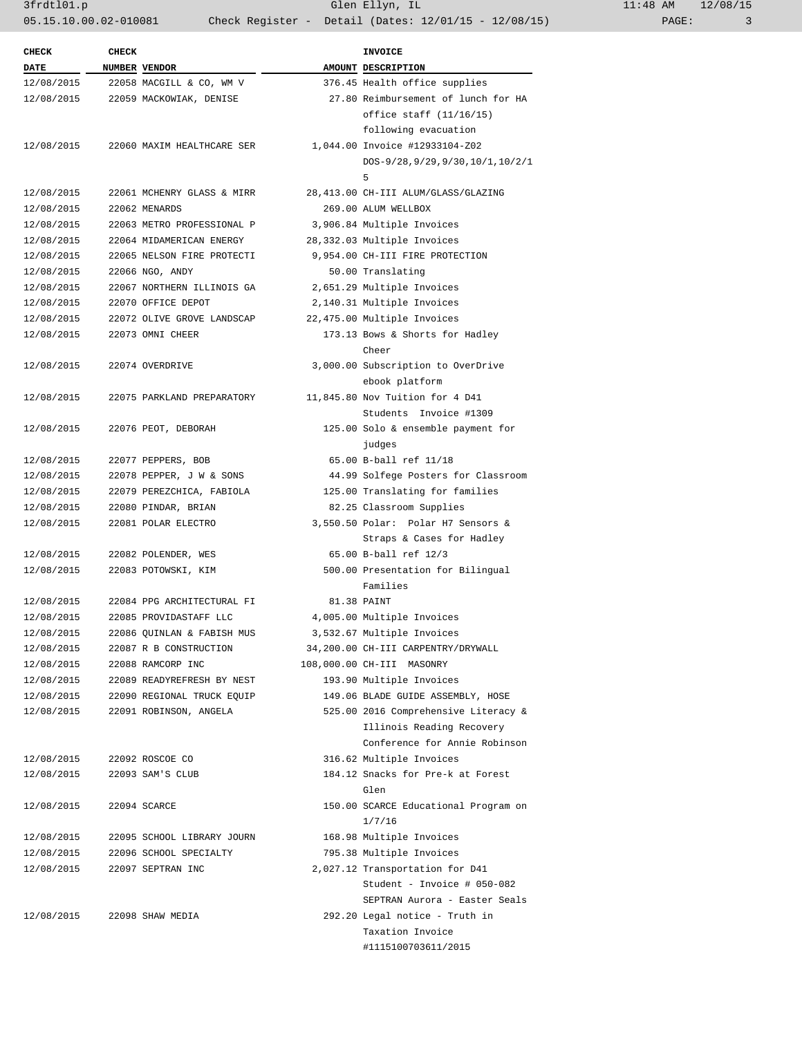| <b>CHECK</b> | <b>CHECK</b>  |                                    | <b>INVOICE</b>                                                |
|--------------|---------------|------------------------------------|---------------------------------------------------------------|
| <b>DATE</b>  | NUMBER VENDOR |                                    | AMOUNT DESCRIPTION                                            |
| 12/08/2015   |               | 22058 MACGILL & CO, WM V           | 376.45 Health office supplies                                 |
|              |               | 12/08/2015 22059 MACKOWIAK, DENISE | 27.80 Reimbursement of lunch for HA                           |
|              |               |                                    | office staff (11/16/15)                                       |
|              |               |                                    | following evacuation                                          |
| 12/08/2015   |               | 22060 MAXIM HEALTHCARE SER         | 1,044.00 Invoice #12933104-Z02                                |
|              |               |                                    | DOS-9/28, 9/29, 9/30, 10/1, 10/2/1                            |
|              |               |                                    | 5                                                             |
| 12/08/2015   |               | 22061 MCHENRY GLASS & MIRR         | 28,413.00 CH-III ALUM/GLASS/GLAZING                           |
| 12/08/2015   |               | 22062 MENARDS                      | 269.00 ALUM WELLBOX                                           |
| 12/08/2015   |               | 22063 METRO PROFESSIONAL P         | 3,906.84 Multiple Invoices                                    |
| 12/08/2015   |               | 22064 MIDAMERICAN ENERGY           | 28,332.03 Multiple Invoices                                   |
| 12/08/2015   |               | 22065 NELSON FIRE PROTECTI         | 9,954.00 CH-III FIRE PROTECTION                               |
| 12/08/2015   |               | 22066 NGO, ANDY                    | 50.00 Translating                                             |
| 12/08/2015   |               | 22067 NORTHERN ILLINOIS GA         | 2,651.29 Multiple Invoices                                    |
| 12/08/2015   |               | 22070 OFFICE DEPOT                 | 2,140.31 Multiple Invoices                                    |
| 12/08/2015   |               | 22072 OLIVE GROVE LANDSCAP         | 22,475.00 Multiple Invoices                                   |
| 12/08/2015   |               | 22073 OMNI CHEER                   | 173.13 Bows & Shorts for Hadley                               |
|              |               |                                    | Cheer                                                         |
| 12/08/2015   |               | 22074 OVERDRIVE                    | 3,000.00 Subscription to OverDrive                            |
|              |               |                                    | ebook platform                                                |
| 12/08/2015   |               | 22075 PARKLAND PREPARATORY         | 11,845.80 Nov Tuition for 4 D41                               |
|              |               |                                    | Students Invoice #1309                                        |
| 12/08/2015   |               | 22076 PEOT, DEBORAH                | 125.00 Solo & ensemble payment for                            |
|              |               |                                    | judges                                                        |
| 12/08/2015   |               | 22077 PEPPERS, BOB                 | 65.00 B-ball ref 11/18                                        |
| 12/08/2015   |               | 22078 PEPPER, J W & SONS           | 44.99 Solfege Posters for Classroom                           |
| 12/08/2015   |               | 22079 PEREZCHICA, FABIOLA          | 125.00 Translating for families                               |
| 12/08/2015   |               | 22080 PINDAR, BRIAN                | 82.25 Classroom Supplies                                      |
| 12/08/2015   |               | 22081 POLAR ELECTRO                | 3,550.50 Polar: Polar H7 Sensors &                            |
|              |               |                                    | Straps & Cases for Hadley                                     |
| 12/08/2015   |               | 22082 POLENDER, WES                | 65.00 B-ball ref 12/3                                         |
| 12/08/2015   |               | 22083 POTOWSKI, KIM                | 500.00 Presentation for Bilingual                             |
|              |               |                                    | Families                                                      |
| 12/08/2015   |               | 22084 PPG ARCHITECTURAL FI         | 81.38 PAINT                                                   |
| 12/08/2015   |               | 22085 PROVIDASTAFF LLC             | 4,005.00 Multiple Invoices                                    |
| 12/08/2015   |               | 22086 QUINLAN & FABISH MUS         | 3,532.67 Multiple Invoices                                    |
| 12/08/2015   |               | 22087 R B CONSTRUCTION             | 34,200.00 CH-III CARPENTRY/DRYWALL                            |
| 12/08/2015   |               | 22088 RAMCORP INC                  | 108,000.00 CH-III MASONRY                                     |
| 12/08/2015   |               | 22089 READYREFRESH BY NEST         | 193.90 Multiple Invoices                                      |
| 12/08/2015   |               | 22090 REGIONAL TRUCK EQUIP         | 149.06 BLADE GUIDE ASSEMBLY, HOSE                             |
| 12/08/2015   |               | 22091 ROBINSON, ANGELA             | 525.00 2016 Comprehensive Literacy &                          |
|              |               |                                    | Illinois Reading Recovery                                     |
|              |               |                                    | Conference for Annie Robinson                                 |
|              |               |                                    |                                                               |
| 12/08/2015   |               | 22092 ROSCOE CO                    | 316.62 Multiple Invoices<br>184.12 Snacks for Pre-k at Forest |
| 12/08/2015   |               | 22093 SAM'S CLUB                   |                                                               |
|              |               |                                    | Glen                                                          |
| 12/08/2015   |               | 22094 SCARCE                       | 150.00 SCARCE Educational Program on                          |
|              |               |                                    | 1/7/16                                                        |
| 12/08/2015   |               | 22095 SCHOOL LIBRARY JOURN         | 168.98 Multiple Invoices                                      |
| 12/08/2015   |               | 22096 SCHOOL SPECIALTY             | 795.38 Multiple Invoices                                      |
| 12/08/2015   |               | 22097 SEPTRAN INC                  | 2,027.12 Transportation for D41                               |
|              |               |                                    | Student - Invoice # 050-082                                   |
|              |               |                                    | SEPTRAN Aurora - Easter Seals                                 |
| 12/08/2015   |               | 22098 SHAW MEDIA                   | 292.20 Legal notice - Truth in                                |
|              |               |                                    | Taxation Invoice                                              |
|              |               |                                    | #1115100703611/2015                                           |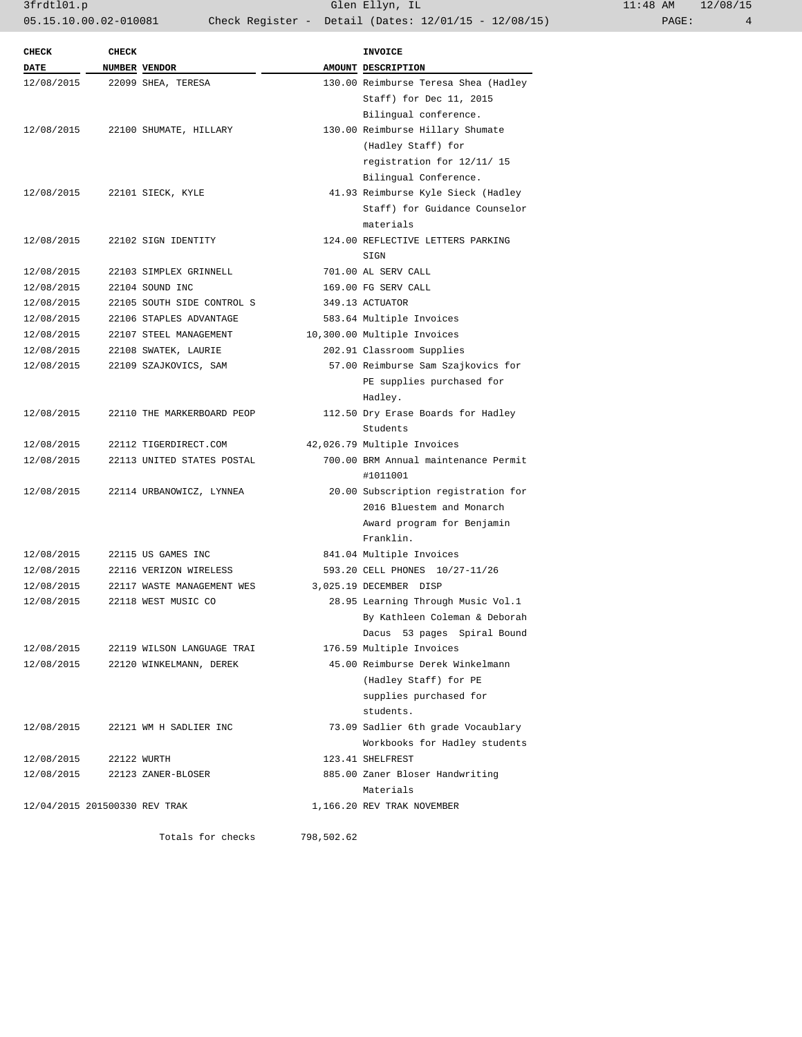| <b>CHECK</b>                  | <b>CHECK</b> |                            | INVOICE                                          |
|-------------------------------|--------------|----------------------------|--------------------------------------------------|
| <b>DATE</b>                   |              | NUMBER VENDOR              | AMOUNT DESCRIPTION                               |
| 12/08/2015                    |              | 22099 SHEA, TERESA         | 130.00 Reimburse Teresa Shea (Hadley             |
|                               |              |                            | Staff) for Dec 11, 2015                          |
|                               |              |                            | Bilingual conference.                            |
| 12/08/2015                    |              | 22100 SHUMATE, HILLARY     | 130.00 Reimburse Hillary Shumate                 |
|                               |              |                            | (Hadley Staff) for                               |
|                               |              |                            | registration for 12/11/ 15                       |
|                               |              |                            | Bilingual Conference.                            |
| 12/08/2015                    |              | 22101 SIECK, KYLE          | 41.93 Reimburse Kyle Sieck (Hadley               |
|                               |              |                            | Staff) for Guidance Counselor                    |
|                               |              |                            | materials                                        |
| 12/08/2015                    |              | 22102 SIGN IDENTITY        | 124.00 REFLECTIVE LETTERS PARKING                |
|                               |              |                            | SIGN                                             |
| 12/08/2015                    |              | 22103 SIMPLEX GRINNELL     | 701.00 AL SERV CALL                              |
| 12/08/2015                    |              | 22104 SOUND INC            | 169.00 FG SERV CALL                              |
| 12/08/2015                    |              | 22105 SOUTH SIDE CONTROL S | 349.13 ACTUATOR                                  |
| 12/08/2015                    |              | 22106 STAPLES ADVANTAGE    | 583.64 Multiple Invoices                         |
|                               |              | 22107 STEEL MANAGEMENT     |                                                  |
| 12/08/2015                    |              |                            | 10,300.00 Multiple Invoices                      |
| 12/08/2015                    |              | 22108 SWATEK, LAURIE       | 202.91 Classroom Supplies                        |
| 12/08/2015                    |              | 22109 SZAJKOVICS, SAM      | 57.00 Reimburse Sam Szajkovics for               |
|                               |              |                            | PE supplies purchased for                        |
|                               |              |                            | Hadley.                                          |
| 12/08/2015                    |              | 22110 THE MARKERBOARD PEOP | 112.50 Dry Erase Boards for Hadley               |
|                               |              |                            | Students                                         |
| 12/08/2015                    |              | 22112 TIGERDIRECT.COM      | 42,026.79 Multiple Invoices                      |
| 12/08/2015                    |              | 22113 UNITED STATES POSTAL | 700.00 BRM Annual maintenance Permit<br>#1011001 |
| 12/08/2015                    |              | 22114 URBANOWICZ, LYNNEA   | 20.00 Subscription registration for              |
|                               |              |                            | 2016 Bluestem and Monarch                        |
|                               |              |                            | Award program for Benjamin                       |
|                               |              |                            | Franklin.                                        |
| 12/08/2015                    |              | 22115 US GAMES INC         | 841.04 Multiple Invoices                         |
| 12/08/2015                    |              | 22116 VERIZON WIRELESS     | 593.20 CELL PHONES 10/27-11/26                   |
| 12/08/2015                    |              | 22117 WASTE MANAGEMENT WES | 3,025.19 DECEMBER DISP                           |
| 12/08/2015                    |              |                            |                                                  |
|                               |              | 22118 WEST MUSIC CO        | 28.95 Learning Through Music Vol.1               |
|                               |              |                            | By Kathleen Coleman & Deborah                    |
|                               |              |                            | Dacus 53 pages Spiral Bound                      |
| 12/08/2015                    |              | 22119 WILSON LANGUAGE TRAI | 176.59 Multiple Invoices                         |
| 12/08/2015                    |              | 22120 WINKELMANN, DEREK    | 45.00 Reimburse Derek Winkelmann                 |
|                               |              |                            | (Hadley Staff) for PE                            |
|                               |              |                            | supplies purchased for                           |
|                               |              |                            | students.                                        |
| 12/08/2015                    |              | 22121 WM H SADLIER INC     | 73.09 Sadlier 6th grade Vocaublary               |
|                               |              |                            | Workbooks for Hadley students                    |
| 12/08/2015                    | 22122 WURTH  |                            | 123.41 SHELFREST                                 |
| 12/08/2015                    |              | 22123 ZANER-BLOSER         | 885.00 Zaner Bloser Handwriting                  |
|                               |              |                            | Materials                                        |
| 12/04/2015 201500330 REV TRAK |              |                            | 1,166.20 REV TRAK NOVEMBER                       |
|                               |              |                            |                                                  |